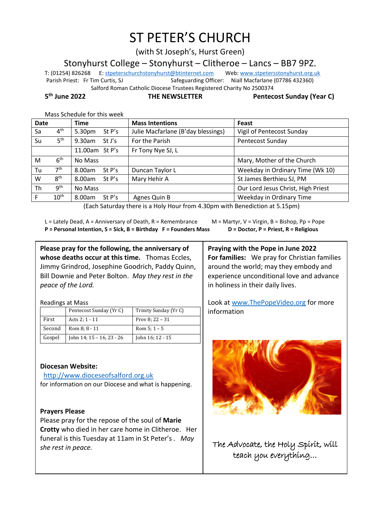# ST PETER'S CHURCH

(with St Joseph's, Hurst Green)

Stonyhurst College – Stonyhurst – Clitheroe – Lancs – BB7 9PZ.

T: (01254) 826268 E[: stpeterschurchstonyhurst@btinternet.com](mailto:stpeterschurchstonyhurst@btinternet.com) Web[: www.stpetersstonyhurst.org.uk](http://www.stpetersstonyhurst.org.uk/) Parish Priest: Fr Tim Curtis, SJ Safeguarding Officer: Niall Macfarlane (07786 432360) Salford Roman Catholic Diocese Trustees Registered Charity No 2500374

5<sup>th</sup> lune 2022

**the NEWSLETTER** Pentecost Sunday (Year C)

Mass Schedule for this week

| <b>Date</b> |                                                                                                                | <b>Time</b>        | <b>Mass Intentions</b>             | Feast                              |  |  |
|-------------|----------------------------------------------------------------------------------------------------------------|--------------------|------------------------------------|------------------------------------|--|--|
| Sa          | 4 <sup>th</sup>                                                                                                | 5.30pm<br>St P's   | Julie Macfarlane (B'day blessings) | Vigil of Pentecost Sunday          |  |  |
| Su          | 5 <sup>th</sup>                                                                                                | 9.30am<br>St J's   | For the Parish                     | Pentecost Sunday                   |  |  |
|             |                                                                                                                | 11.00am St P's     | Fr Tony Nye SJ, L                  |                                    |  |  |
| M           | 6 <sup>th</sup>                                                                                                | No Mass            |                                    | Mary, Mother of the Church         |  |  |
| Tu          | 7 <sup>th</sup>                                                                                                | 8.00am<br>St P's   | Duncan Taylor L                    | Weekday in Ordinary Time (Wk 10)   |  |  |
| W           | 8 <sup>th</sup>                                                                                                | 8.00am<br>St $P's$ | Mary Hehir A                       | St James Berthieu SJ, PM           |  |  |
| Th          | 9 <sup>th</sup>                                                                                                | No Mass            |                                    | Our Lord Jesus Christ, High Priest |  |  |
| F           | $10^{\text{th}}$                                                                                               | 8.00am St P's      | Agnes Quin B                       | Weekday in Ordinary Time           |  |  |
|             | $I$ e al estado de la contrata de la facción de la contrata de la contrata de la estado de la contrata de la f |                    |                                    |                                    |  |  |

(Each Saturday there is a Holy Hour from 4.30pm with Benediction at 5.15pm)

L = Lately Dead, A = Anniversary of Death, R = Remembrance  $M =$  M = Martyr, V = Virgin, B = Bishop, Pp = Pope **P = Personal Intention, S = Sick, B = Birthday F = Founders Mass D = Doctor, P = Priest, R = Religious**

**Please pray for the following, the anniversary of whose deaths occur at this time.** Thomas Eccles, Jimmy Grindrod, Josephine Goodrich, Paddy Quinn, Bill Downie and Peter Bolton. *May they rest in the peace of the Lord.*

Readings at Mass

|        | Pentecost Sunday (Yr C)   | Trinity Sunday (Yr C) |
|--------|---------------------------|-----------------------|
| First  | Acts 2; 1 - 11            | Prov 8: $22 - 31$     |
| Second | Rom 8: 8 - 11             | Rom $5:1 - 5$         |
| Gospel | John 14; 15 - 16, 23 - 26 | John 16; 12 - 15      |

# **Diocesan Website:**

http://www.dioceseofsalford.org.uk for information on our Diocese and what is happening.

# **Prayers Please**

Please pray for the repose of the soul of **Marie Crotty** who died in her care home in Clitheroe. Her funeral is this Tuesday at 11am in St Peter's *. May she rest in peace.*

**Praying with the Pope in June 2022 For families:** We pray for Christian families around the world; may they embody and experience unconditional love and advance in holiness in their daily lives.

Look at www.ThePopeVideo.org for more information



The Advocate, the Holy Spirit, will teach you everything…

İ